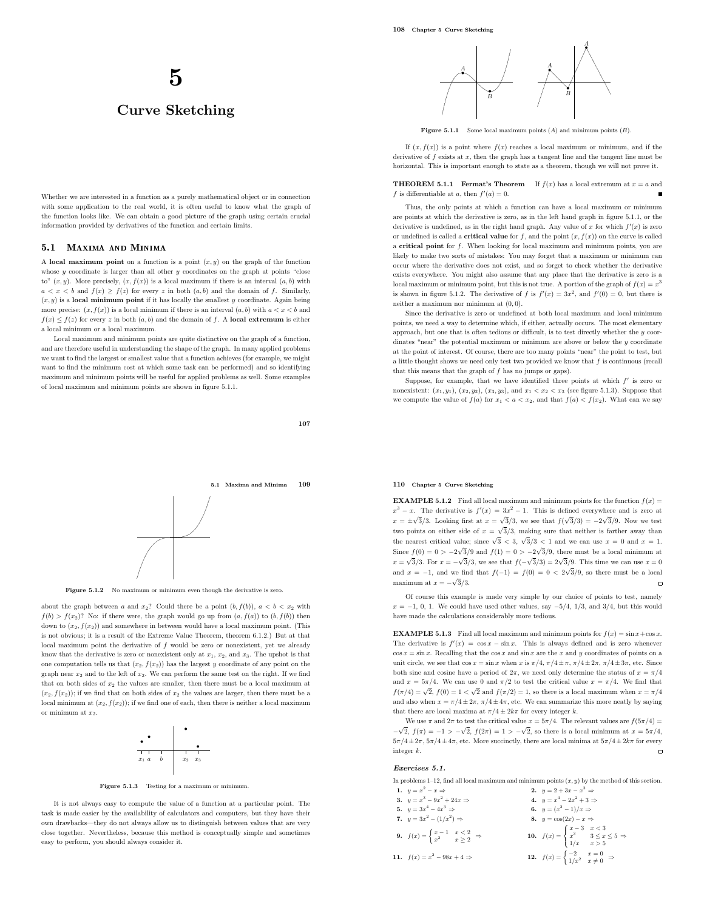# Curve Sketching

Whether we are interested in a function as a purely mathematical object or in connection with some application to the real world, it is often useful to know what the graph of the function looks like. We can obtain a good picture of the graph using certain crucial information provided by derivatives of the function and certain limits.

## 5.1 Maxima and Minima

A local maximum point on a function is a point  $(x, y)$  on the graph of the function whose  $y$  coordinate is larger than all other  $y$  coordinates on the graph at points "close to"  $(x, y)$ . More precisely,  $(x, f(x))$  is a local maximum if there is an interval  $(a, b)$  with  $a < x < b$  and  $f(x) \ge f(z)$  for every z in both  $(a, b)$  and the domain of f. Similarly,  $(x, y)$  is a local minimum point if it has locally the smallest y coordinate. Again being more precise:  $(x, f(x))$  is a local minimum if there is an interval  $(a, b)$  with  $a < x < b$  and  $f(x) \leq f(z)$  for every z in both  $(a, b)$  and the domain of f. A local extremum is either a local minimum or a local maximum.

Local maximum and minimum points are quite distinctive on the graph of a function, and are therefore useful in understanding the shape of the graph. In many applied problems we want to find the largest or smallest value that a function achieves (for example, we might want to find the minimum cost at which some task can be performed) and so identifying maximum and minimum points will be useful for applied problems as well. Some examples of local maximum and minimum points are shown in figure 5.1.1.





Figure 5.1.2 No maximum or minimum even though the derivative is zero.

about the graph between a and  $x_2$ ? Could there be a point  $(b, f(b))$ ,  $a < b < x_2$  with  $f(b) > f(x<sub>2</sub>)$ ? No: if there were, the graph would go up from  $(a, f(a))$  to  $(b, f(b))$  then down to  $(x_2, f(x_2))$  and somewhere in between would have a local maximum point. (This is not obvious; it is a result of the Extreme Value Theorem, theorem 6.1.2.) But at that local maximum point the derivative of  $f$  would be zero or nonexistent, yet we already know that the derivative is zero or nonexistent only at  $x_1, x_2$ , and  $x_3$ . The upshot is that one computation tells us that  $(x_2, f(x_2))$  has the largest y coordinate of any point on the graph near  $x_2$  and to the left of  $x_2$ . We can perform the same test on the right. If we find that on both sides of  $x_2$  the values are smaller, then there must be a local maximum at  $(x_2, f(x_2))$ ; if we find that on both sides of  $x_2$  the values are larger, then there must be a local minimum at  $(x_2, f(x_2))$ ; if we find one of each, then there is neither a local maximum or minimum at  $x_2$ .



Figure 5.1.3 Testing for a maximum or minimum.

It is not always easy to compute the value of a function at a particular point. The task is made easier by the availability of calculators and computers, but they have their own drawbacks—they do not always allow us to distinguish between values that are very close together. Nevertheless, because this method is conceptually simple and sometimes easy to perform, you should always consider it.



**Figure 5.1.1** Some local maximum points  $(A)$  and minimum points  $(B)$ .

If  $(x, f(x))$  is a point where  $f(x)$  reaches a local maximum or minimum, and if the derivative of  $f$  exists at  $x$ , then the graph has a tangent line and the tangent line must be horizontal. This is important enough to state as a theorem, though we will not prove it.

**THEOREM 5.1.1** Fermat's Theorem If  $f(x)$  has a local extremum at  $x = a$  and f is differentiable at a, then  $f'(a) = 0$ .

Thus, the only points at which a function can have a local maximum or minimum are points at which the derivative is zero, as in the left hand graph in figure 5.1.1, or the derivative is undefined, as in the right hand graph. Any value of x for which  $f'(x)$  is zero or undefined is called a **critical value** for f, and the point  $(x, f(x))$  on the curve is called a critical point for f. When looking for local maximum and minimum points, you are likely to make two sorts of mistakes: You may forget that a maximum or minimum can occur where the derivative does not exist, and so forget to check whether the derivative exists everywhere. You might also assume that any place that the derivative is zero is a local maximum or minimum point, but this is not true. A portion of the graph of  $f(x) = x^3$ is shown in figure 5.1.2. The derivative of f is  $f'(x) = 3x^2$ , and  $f'(0) = 0$ , but there is neither a maximum nor minimum at (0, 0).

Since the derivative is zero or undefined at both local maximum and local minimum points, we need a way to determine which, if either, actually occurs. The most elementary approach, but one that is often tedious or difficult, is to test directly whether the  $y$  coordinates "near" the potential maximum or minimum are above or below the  $y$  coordinate at the point of interest. Of course, there are too many points "near" the point to test, but a little thought shows we need only test two provided we know that  $f$  is continuous (recall that this means that the graph of f has no jumps or gaps).

Suppose, for example, that we have identified three points at which  $f'$  is zero or nonexistent:  $(x_1, y_1)$ ,  $(x_2, y_2)$ ,  $(x_3, y_3)$ , and  $x_1 < x_2 < x_3$  (see figure 5.1.3). Suppose that we compute the value of  $f(a)$  for  $x_1 < a < x_2$ , and that  $f(a) < f(x_2)$ . What can we say

## 110 Chapter 5 Curve Sketching

**EXAMPLE 5.1.2** Find all local maximum and minimum points for the function  $f(x) =$  $x^3 - x$ . The derivative is  $f'(x) = 3x^2 - 1$ . This is defined everywhere and is zero at  $x = \pm \sqrt{3}/3$ . Looking first at  $x = \sqrt{3}/3$ , we see that  $f(\sqrt{3}/3) = -2\sqrt{3}/9$ . Now we test two points on either side of  $x = \sqrt{3}/3$ , making sure that neither is farther away than the nearest critical value; since  $\sqrt{3}$  < 3,  $\sqrt{3}/3$  < 1 and we can use  $x = 0$  and  $x = 1$ . Since  $f(0) = 0 > -2\sqrt{3}/9$  and  $f(1) = 0 > -2\sqrt{3}/9$ , there must be a local minimum at  $x = \sqrt{3}/3$ . For  $x = -\sqrt{3}/3$ , we see that  $f(-\sqrt{3}/3) = 2\sqrt{3}/9$ . This time we can use  $x = 0$ and  $x = -1$ , and we find that  $f(-1) = f(0) = 0 < 2\sqrt{3}/9$ , so there must be a local maximum at  $x = -\sqrt{3}/3$ .  $\Box$ 

Of course this example is made very simple by our choice of points to test, namely  $x = -1, 0, 1$ . We could have used other values, say  $-5/4, 1/3,$  and  $3/4$ , but this would have made the calculations considerably more tedious.

**EXAMPLE 5.1.3** Find all local maximum and minimum points for  $f(x) = \sin x + \cos x$ . The derivative is  $f'(x) = \cos x - \sin x$ . This is always defined and is zero whenever  $\cos x = \sin x$ . Recalling that the  $\cos x$  and  $\sin x$  are the x and y coordinates of points on a unit circle, we see that  $\cos x = \sin x$  when x is  $\pi/4$ ,  $\pi/4 \pm \pi$ ,  $\pi/4 \pm 2\pi$ ,  $\pi/4 \pm 3\pi$ , etc. Since both sine and cosine have a period of  $2\pi$ , we need only determine the status of  $x = \pi/4$ and  $x = 5\pi/4$ . We can use 0 and  $\pi/2$  to test the critical value  $x = \pi/4$ . We find that  $f(\pi/4) = \sqrt{2}$ ,  $f(0) = 1 < \sqrt{2}$  and  $f(\pi/2) = 1$ , so there is a local maximum when  $x = \pi/4$ and also when  $x = \pi/4 \pm 2\pi$ ,  $\pi/4 \pm 4\pi$ , etc. We can summarize this more neatly by saying that there are local maxima at  $\pi/4 + 2k\pi$  for every integer k.

We use  $\pi$  and  $2\pi$  to test the critical value  $x = 5\pi/4$ . The relevant values are  $f(5\pi/4)$  =  $-\sqrt{2}$ ,  $f(π) = -1 > -\sqrt{2}$ ,  $f(2π) = 1 > -\sqrt{2}$ , so there is a local minimum at  $x = 5π/4$ ,  $5\pi/4\pm2\pi,\,5\pi/4\pm4\pi,$  etc. More succinctly, there are local minima at  $5\pi/4\pm2k\pi$  for every integer k.

#### Exercises 5.1.

In problems 1–12, find all local maximum and minimum points  $(x, y)$  by the method of this section. 1.  $y = x^2$  $-x \Rightarrow$  2.  $y = 2 + 3x - x^3 \Rightarrow$ 

| 3. $y = x^3 - 9x^2 + 24x \Rightarrow$                                                 | 4. $y = x^4 - 2x^2 + 3 \Rightarrow$                                                               |
|---------------------------------------------------------------------------------------|---------------------------------------------------------------------------------------------------|
| 5. $y = 3x^4 - 4x^3 \Rightarrow$                                                      | 6. $y = (x^2 - 1)/x \Rightarrow$                                                                  |
| 7. $y = 3x^2 - (1/x^2) \Rightarrow$                                                   | 8. $y = cos(2x) - x \Rightarrow$                                                                  |
| <b>9.</b> $f(x) = \begin{cases} x - 1 & x < 2 \\ x^2 & x > 2 \end{cases} \Rightarrow$ | <b>10.</b> $f(x) = \begin{cases} x - 3 & x < 3 \\ x^3 & 3 \le x \le 5 \\ 1/x & x > 5 \end{cases}$ |
| 11. $f(x) = x^2 - 98x + 4 \Rightarrow$                                                | 12. $f(x) = \begin{cases} -2 & x = 0 \\ 1/x^2 & x \neq 0 \end{cases} \Rightarrow$                 |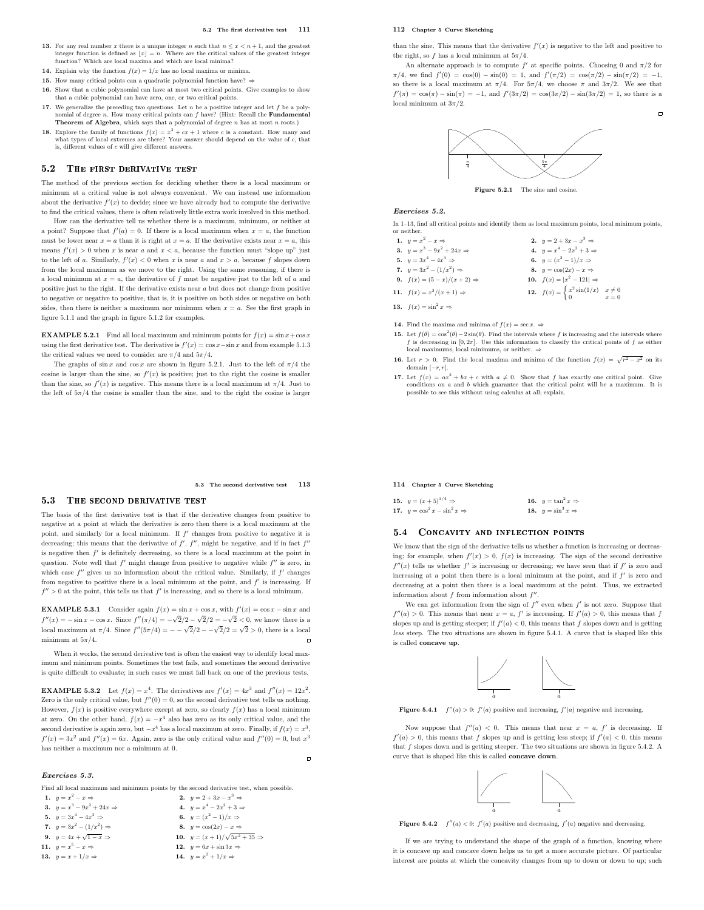#### 5.2 The first derivative test 111

- 13. For any real number x there is a unique integer n such that  $n \leq x < n+1$ , and the greatest integer function is defined as  $\lfloor x \rfloor = n$ . Where are the critical values of the greatest integer function? Which are local maxima and which are local minima?
- 14. Explain why the function  $f(x) = 1/x$  has no local maxima or minima.
- **15.** How many critical points can a quadratic polynomial function have? ⇒
- 16. Show that a cubic polynomial can have at most two critical points. Give examples to show that a cubic polynomial can have zero, one, or two critical points.
- 17. We generalize the preceding two questions. Let  $n$  be a positive integer and let  $f$  be a polynomial of degree n. How many critical points can  $f$  have? (Hint: Recall the **Fundamental Theorem of Algebra**, which says that a polynomial of degree n has at most n roots.)
- **18.** Explore the family of functions  $f(x) = x^3 + cx + 1$  where c is a constant. How many and what types of local extremes are there? Your answer should depend on the value of c, that is, different values of c will give different answers.

## 5.2 THE FIRST DERIVATIVE TEST

The method of the previous section for deciding whether there is a local maximum or minimum at a critical value is not always convenient. We can instead use information about the derivative  $f'(x)$  to decide; since we have already had to compute the derivative to find the critical values, there is often relatively little extra work involved in this method.

How can the derivative tell us whether there is a maximum, minimum, or neither at a point? Suppose that  $f'(a) = 0$ . If there is a local maximum when  $x = a$ , the function must be lower near  $x = a$  than it is right at  $x = a$ . If the derivative exists near  $x = a$ , this means  $f'(x) > 0$  when x is near a and  $x < a$ , because the function must "slope up" just to the left of a. Similarly,  $f'(x) < 0$  when x is near a and  $x > a$ , because f slopes down from the local maximum as we move to the right. Using the same reasoning, if there is a local minimum at  $x = a$ , the derivative of f must be negative just to the left of a and positive just to the right. If the derivative exists near  $a$  but does not change from positive to negative or negative to positive, that is, it is positive on both sides or negative on both sides, then there is neither a maximum nor minimum when  $x = a$ . See the first graph in figure 5.1.1 and the graph in figure 5.1.2 for examples.

**EXAMPLE 5.2.1** Find all local maximum and minimum points for  $f(x) = \sin x + \cos x$ using the first derivative test. The derivative is  $f'(x) = \cos x - \sin x$  and from example 5.1.3 the critical values we need to consider are  $\pi/4$  and  $5\pi/4$ .

The graphs of sin x and  $\cos x$  are shown in figure 5.2.1. Just to the left of  $\pi/4$  the cosine is larger than the sine, so  $f'(x)$  is positive; just to the right the cosine is smaller than the sine, so  $f'(x)$  is negative. This means there is a local maximum at  $\pi/4$ . Just to the left of  $5\pi/4$  the cosine is smaller than the sine, and to the right the cosine is larger

5.3 The second derivative test 113

 $\blacksquare$ 

## 5.3 THE SECOND DERIVATIVE TEST

The basis of the first derivative test is that if the derivative changes from positive to negative at a point at which the derivative is zero then there is a local maximum at the point, and similarly for a local minimum. If  $f'$  changes from positive to negative it is decreasing; this means that the derivative of  $f'$ ,  $f''$ , might be negative, and if in fact  $f''$ is negative then  $f'$  is definitely decreasing, so there is a local maximum at the point in question. Note well that  $f'$  might change from positive to negative while  $f''$  is zero, in which case  $f''$  gives us no information about the critical value. Similarly, if  $f'$  changes from negative to positive there is a local minimum at the point, and  $f'$  is increasing. If  $f'' > 0$  at the point, this tells us that  $f'$  is increasing, and so there is a local minimum.

**EXAMPLE 5.3.1** Consider again  $f(x) = \sin x + \cos x$ , with  $f'(x) = \cos x - \sin x$  and  $f''(x) = -\sin x - \cos x$ . Since  $f''(\pi/4) = -\sqrt{2}/2 - \sqrt{2}/2 = -\sqrt{2} < 0$ , we know there is a local maximum at  $\pi/4$ . Since  $f''(5\pi/4) = -\sqrt{2}/2 - \sqrt{2}/2 = \sqrt{2} > 0$ , there is a local minimum at  $5\pi/4$ .

When it works, the second derivative test is often the easiest way to identify local maximum and minimum points. Sometimes the test fails, and sometimes the second derivative is quite difficult to evaluate; in such cases we must fall back on one of the previous tests.

**EXAMPLE 5.3.2** Let  $f(x) = x^4$ . The derivatives are  $f'(x) = 4x^3$  and  $f''(x) = 12x^2$ . Zero is the only critical value, but  $f''(0) = 0$ , so the second derivative test tells us nothing. However,  $f(x)$  is positive everywhere except at zero, so clearly  $f(x)$  has a local minimum at zero. On the other hand,  $f(x) = -x^4$  also has zero as its only critical value, and the second derivative is again zero, but  $-x^4$  has a local maximum at zero. Finally, if  $f(x) = x^3$ ,  $f'(x) = 3x^2$  and  $f''(x) = 6x$ . Again, zero is the only critical value and  $f''(0) = 0$ , but  $x^3$ has neither a maximum nor a minimum at 0.

## Exercises 5.3.

Find all local maximum and minimum points by the second derivative test, when possible.

1.  $y = x^2$  $-x \Rightarrow$  2.  $y = 2 + 3x - x^3 \Rightarrow$ 3.  $y = x^3 - 9x$  $x^2 + 24x \Rightarrow$  4.  $y = x^4 - 2x^2 + 3 \Rightarrow$ 5.  $y = 3x^4 - 4x^3$ ⇒ 6.  $y = (x^2 - 1)/x$  ⇒ 7.  $y = 3x^2 - (1/x^2)$ 8.  $y = cos(2x) - x \Rightarrow$ 9.  $y = 4x + \sqrt{ }$  $\overline{1-x} \Rightarrow$  10.  $y = (x+1)/\sqrt{5x^2+35} \Rightarrow$ 11.  $y = x^5$ 12.  $y = 6x + \sin 3x \Rightarrow$ 13.  $y = x + 1/x \Rightarrow$ 14.  $y = x^2 + 1/x \Rightarrow$ 

## 112 Chapter 5 Curve Sketching

than the sine. This means that the derivative  $f'(x)$  is negative to the left and positive to the right, so f has a local minimum at  $5\pi/4$ .

An alternate approach is to compute  $f'$  at specific points. Choosing 0 and  $\pi/2$  for  $\pi/4$ , we find  $f'(0) = \cos(0) - \sin(0) = 1$ , and  $f'(\pi/2) = \cos(\pi/2) - \sin(\pi/2) = -1$ , so there is a local maximum at  $\pi/4$ . For  $5\pi/4$ , we choose  $\pi$  and  $3\pi/2$ . We see that  $f'(\pi) = \cos(\pi) - \sin(\pi) = -1$ , and  $f'(3\pi/2) = \cos(3\pi/2) - \sin(3\pi/2) = 1$ , so there is a local minimum at  $3\pi/2$ .

 $\overline{a}$ 



Figure 5.2.1 The sine and cosine.

#### Exercises 5.2.

In 1–13, find all critical points and identify them as local maximum points, local minimum points, or neither.

- 1.  $y = x^2$  $-x \Rightarrow$  2.  $y = 2 + 3x - x^3$  $+3x-x \Rightarrow$ <br> $^4-2x^2+3 \Rightarrow$ 3.  $y = x^3 - 9x^2 + 24x \Rightarrow$  4.  $y = x$ 5.  $y = 3x^4 - 4x^3$  $\Rightarrow$  6.  $y = (x^2 - 1)/x \Rightarrow$ 7.  $y = 3x^2 - (1/x^2)$ 8.  $y = cos(2x) - x \Rightarrow$ 9.  $f(x) = (5 - x)/(x + 2) \Rightarrow$ <sup>2</sup> − 121 $|$  ⇒ 11.  $f(x) = x^3$  $/(x+1) \Rightarrow$  12.  $f(x) = \begin{cases} x^2 \sin(1/x) & x \neq 0 \\ 0 & x = 0 \end{cases}$
- 13.  $f(x) = \sin^2 x \Rightarrow$
- 14. Find the maxima and minima of  $f(x) = \sec x. \Rightarrow$
- **15.** Let  $f(\theta) = \cos^2(\theta) 2\sin(\theta)$ . Find the intervals where f is increasing and the intervals where f is decreasing in  $[0, 2\pi]$ . Use this information to classify the critical points of f as either local maximums, local minimums, or neither.  $\Rightarrow$
- **16.** Let  $r > 0$ . Find the local maxima and minima of the function  $f(x) = \sqrt{r^2 x^2}$  on its domain  $[-r, r]$ .
- 17. Let  $f(x) = ax^2 + bx + c$  with  $a \neq 0$ . Show that f has exactly one critical point. Give conditions on  $a$  and  $b$  which guarantee that the critical point will be a maximum. It is possible to see this without using calculus at all; explain.

#### 114 Chapter 5 Curve Sketching

| 15. $y = (x+5)^{1/4} \Rightarrow$         | 16. $y = \tan^2 x \Rightarrow$ |
|-------------------------------------------|--------------------------------|
| 17. $y = \cos^2 x - \sin^2 x \Rightarrow$ | 18. $y = \sin^3 x \Rightarrow$ |

## 5.4 CONCAVITY AND INFLECTION POINTS

We know that the sign of the derivative tells us whether a function is increasing or decreasing; for example, when  $f'(x) > 0$ ,  $f(x)$  is increasing. The sign of the second derivative  $f''(x)$  tells us whether  $f'$  is increasing or decreasing; we have seen that if  $f'$  is zero and increasing at a point then there is a local minimum at the point, and if  $f'$  is zero and decreasing at a point then there is a local maximum at the point. Thus, we extracted information about  $f$  from information about  $f''$ .

We can get information from the sign of  $f''$  even when  $f'$  is not zero. Suppose that  $f''(a) > 0$ . This means that near  $x = a$ ,  $f'$  is increasing. If  $f'(a) > 0$ , this means that f slopes up and is getting steeper; if  $f'(a) < 0$ , this means that f slopes down and is getting less steep. The two situations are shown in figure 5.4.1. A curve that is shaped like this is called concave up.



Figure 5.4.1  $f''(a) > 0$ :  $f'(a)$  positive and increasing,  $f'(a)$  negative and increasing.

Now suppose that  $f''(a) < 0$ . This means that near  $x = a, f'$  is decreasing. If  $f'(a) > 0$ , this means that f slopes up and is getting less steep; if  $f'(a) < 0$ , this means that f slopes down and is getting steeper. The two situations are shown in figure 5.4.2. A curve that is shaped like this is called concave down.



Figure 5.4.2  $f''(a) < 0$ :  $f'(a)$  positive and decreasing,  $f'(a)$  negative and decreasing.

If we are trying to understand the shape of the graph of a function, knowing where it is concave up and concave down helps us to get a more accurate picture. Of particular interest are points at which the concavity changes from up to down or down to up; such